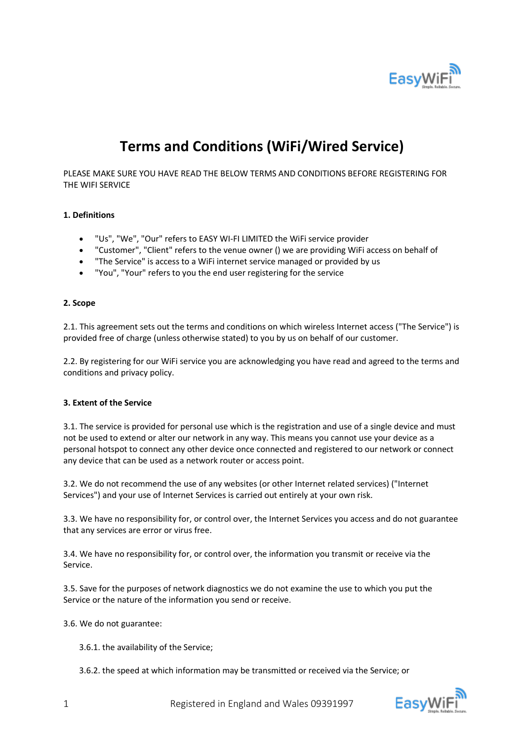

# **Terms and Conditions (WiFi/Wired Service)**

PLEASE MAKE SURE YOU HAVE READ THE BELOW TERMS AND CONDITIONS BEFORE REGISTERING FOR THE WIFI SERVICE

## **1. Definitions**

- "Us", "We", "Our" refers to EASY WI-FI LIMITED the WiFi service provider
- "Customer", "Client" refers to the venue owner () we are providing WiFi access on behalf of
- "The Service" is access to a WiFi internet service managed or provided by us
- "You", "Your" refers to you the end user registering for the service

#### **2. Scope**

2.1. This agreement sets out the terms and conditions on which wireless Internet access ("The Service") is provided free of charge (unless otherwise stated) to you by us on behalf of our customer.

2.2. By registering for our WiFi service you are acknowledging you have read and agreed to the terms and conditions and privacy policy.

#### **3. Extent of the Service**

3.1. The service is provided for personal use which is the registration and use of a single device and must not be used to extend or alter our network in any way. This means you cannot use your device as a personal hotspot to connect any other device once connected and registered to our network or connect any device that can be used as a network router or access point.

3.2. We do not recommend the use of any websites (or other Internet related services) ("Internet Services") and your use of Internet Services is carried out entirely at your own risk.

3.3. We have no responsibility for, or control over, the Internet Services you access and do not guarantee that any services are error or virus free.

3.4. We have no responsibility for, or control over, the information you transmit or receive via the Service.

3.5. Save for the purposes of network diagnostics we do not examine the use to which you put the Service or the nature of the information you send or receive.

3.6. We do not guarantee:

3.6.1. the availability of the Service;

3.6.2. the speed at which information may be transmitted or received via the Service; or

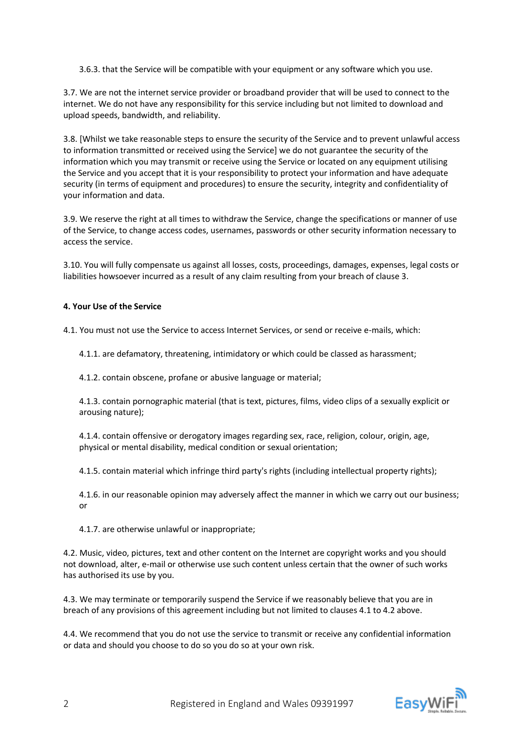3.6.3. that the Service will be compatible with your equipment or any software which you use.

3.7. We are not the internet service provider or broadband provider that will be used to connect to the internet. We do not have any responsibility for this service including but not limited to download and upload speeds, bandwidth, and reliability.

3.8. [Whilst we take reasonable steps to ensure the security of the Service and to prevent unlawful access to information transmitted or received using the Service] we do not guarantee the security of the information which you may transmit or receive using the Service or located on any equipment utilising the Service and you accept that it is your responsibility to protect your information and have adequate security (in terms of equipment and procedures) to ensure the security, integrity and confidentiality of your information and data.

3.9. We reserve the right at all times to withdraw the Service, change the specifications or manner of use of the Service, to change access codes, usernames, passwords or other security information necessary to access the service.

3.10. You will fully compensate us against all losses, costs, proceedings, damages, expenses, legal costs or liabilities howsoever incurred as a result of any claim resulting from your breach of clause 3.

## **4. Your Use of the Service**

4.1. You must not use the Service to access Internet Services, or send or receive e-mails, which:

4.1.1. are defamatory, threatening, intimidatory or which could be classed as harassment;

4.1.2. contain obscene, profane or abusive language or material;

4.1.3. contain pornographic material (that is text, pictures, films, video clips of a sexually explicit or arousing nature);

4.1.4. contain offensive or derogatory images regarding sex, race, religion, colour, origin, age, physical or mental disability, medical condition or sexual orientation;

4.1.5. contain material which infringe third party's rights (including intellectual property rights);

4.1.6. in our reasonable opinion may adversely affect the manner in which we carry out our business; or

4.1.7. are otherwise unlawful or inappropriate;

4.2. Music, video, pictures, text and other content on the Internet are copyright works and you should not download, alter, e-mail or otherwise use such content unless certain that the owner of such works has authorised its use by you.

4.3. We may terminate or temporarily suspend the Service if we reasonably believe that you are in breach of any provisions of this agreement including but not limited to clauses 4.1 to 4.2 above.

4.4. We recommend that you do not use the service to transmit or receive any confidential information or data and should you choose to do so you do so at your own risk.

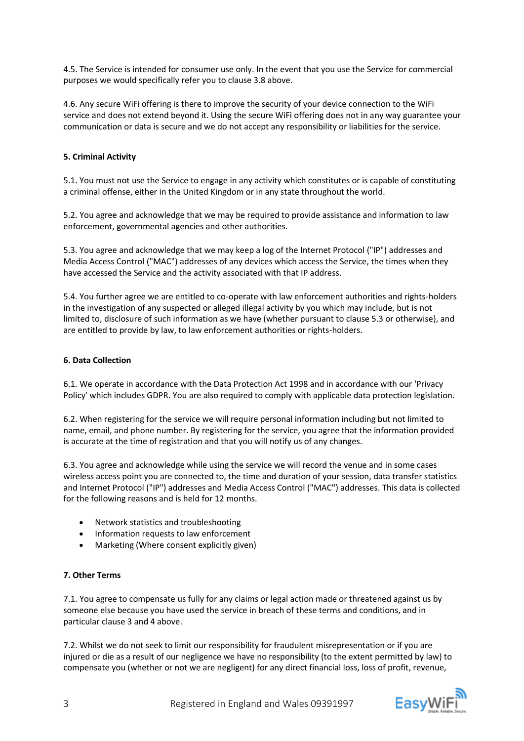4.5. The Service is intended for consumer use only. In the event that you use the Service for commercial purposes we would specifically refer you to clause 3.8 above.

4.6. Any secure WiFi offering is there to improve the security of your device connection to the WiFi service and does not extend beyond it. Using the secure WiFi offering does not in any way guarantee your communication or data is secure and we do not accept any responsibility or liabilities for the service.

## **5. Criminal Activity**

5.1. You must not use the Service to engage in any activity which constitutes or is capable of constituting a criminal offense, either in the United Kingdom or in any state throughout the world.

5.2. You agree and acknowledge that we may be required to provide assistance and information to law enforcement, governmental agencies and other authorities.

5.3. You agree and acknowledge that we may keep a log of the Internet Protocol ("IP") addresses and Media Access Control ("MAC") addresses of any devices which access the Service, the times when they have accessed the Service and the activity associated with that IP address.

5.4. You further agree we are entitled to co-operate with law enforcement authorities and rights-holders in the investigation of any suspected or alleged illegal activity by you which may include, but is not limited to, disclosure of such information as we have (whether pursuant to clause 5.3 or otherwise), and are entitled to provide by law, to law enforcement authorities or rights-holders.

## **6. Data Collection**

6.1. We operate in accordance with the Data Protection Act 1998 and in accordance with our 'Privacy Policy' which includes GDPR. You are also required to comply with applicable data protection legislation.

6.2. When registering for the service we will require personal information including but not limited to name, email, and phone number. By registering for the service, you agree that the information provided is accurate at the time of registration and that you will notify us of any changes.

6.3. You agree and acknowledge while using the service we will record the venue and in some cases wireless access point you are connected to, the time and duration of your session, data transfer statistics and Internet Protocol ("IP") addresses and Media Access Control ("MAC") addresses. This data is collected for the following reasons and is held for 12 months.

- Network statistics and troubleshooting
- Information requests to law enforcement
- Marketing (Where consent explicitly given)

#### **7. Other Terms**

7.1. You agree to compensate us fully for any claims or legal action made or threatened against us by someone else because you have used the service in breach of these terms and conditions, and in particular clause 3 and 4 above.

7.2. Whilst we do not seek to limit our responsibility for fraudulent misrepresentation or if you are injured or die as a result of our negligence we have no responsibility (to the extent permitted by law) to compensate you (whether or not we are negligent) for any direct financial loss, loss of profit, revenue,